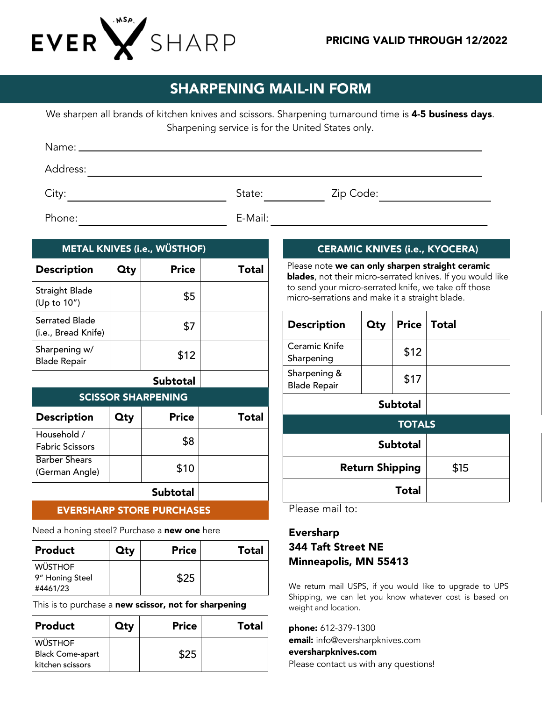

## SHARPENING MAIL-IN FORM

We sharpen all brands of kitchen knives and scissors. Sharpening turnaround time is 4-5 business days. Sharpening service is for the United States only.

| Address: |         |           |
|----------|---------|-----------|
| City:    | State:  | Zip Code: |
| Phone:   | E-Mail: |           |

| <b>METAL KNIVES (i.e., WÜSTHOF)</b>   |            |                    |       |
|---------------------------------------|------------|--------------------|-------|
| <b>Description</b>                    | <b>Qty</b> | <b>Price</b>       | Total |
| <b>Straight Blade</b><br>(Up to 10")  |            | \$5                |       |
| Serrated Blade<br>(i.e., Bread Knife) |            | \$7                |       |
| Sharpening w/<br><b>Blade Repair</b>  |            | \$12               |       |
|                                       |            | $\epsilon$ . Les e |       |

## Subtotal

| <b>SCISSOR SHARPENING</b>              |            |                 |              |
|----------------------------------------|------------|-----------------|--------------|
| <b>Description</b>                     | <b>Qty</b> | <b>Price</b>    | <b>Total</b> |
| Household /<br><b>Fabric Scissors</b>  |            | \$8             |              |
| <b>Barber Shears</b><br>(German Angle) |            | \$10            |              |
|                                        |            | <b>Subtotal</b> |              |

#### EVERSHARP STORE PURCHASES

Need a honing steel? Purchase a new one here

| Product         | Qty | <b>Price</b> | Total |
|-----------------|-----|--------------|-------|
| <b>WÜSTHOF</b>  |     |              |       |
| 9" Honing Steel |     | \$25         |       |
| #4461/23        |     |              |       |

This is to purchase a new scissor, not for sharpening

| Product                                                       | Qtv | <b>Price</b> | <b>Total</b> |
|---------------------------------------------------------------|-----|--------------|--------------|
| <b>WÜSTHOF</b><br><b>Black Come-apart</b><br>kitchen scissors |     | \$25         |              |

## CERAMIC KNIVES (i.e., KYOCERA)

Please note we can only sharpen straight ceramic blades, not their micro-serrated knives. If you would like to send your micro-serrated knife, we take off those micro-serrations and make it a straight blade.

| <b>Description</b>                  | <b>Qty</b> | Price | <b>Total</b> |
|-------------------------------------|------------|-------|--------------|
| Ceramic Knife<br>Sharpening         |            | \$12  |              |
| Sharpening &<br><b>Blade Repair</b> |            | \$17  |              |
|                                     |            |       |              |
| <b>TOTALS</b>                       |            |       |              |
| <b>Subtotal</b>                     |            |       |              |
| <b>Return Shipping</b>              |            | \$15  |              |
|                                     |            | Total |              |

Please mail to:

## Eversharp 344 Taft Street NE Minneapolis, MN 55413

We return mail USPS, if you would like to upgrade to UPS Shipping, we can let you know whatever cost is based on weight and location.

phone: 612-379-1300 email: info@eversharpknives.com eversharpknives.com Please contact us with any questions!